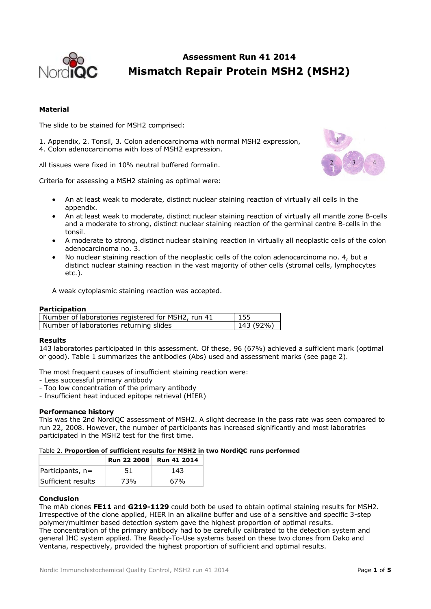

# **Assessment Run 41 2014 Mismatch Repair Protein MSH2 (MSH2)**

# **Material**

The slide to be stained for MSH2 comprised:

1. Appendix, 2. Tonsil, 3. Colon adenocarcinoma with normal MSH2 expression, 4. Colon adenocarcinoma with loss of MSH2 expression.

All tissues were fixed in 10% neutral buffered formalin.

Criteria for assessing a MSH2 staining as optimal were:



- An at least weak to moderate, distinct nuclear staining reaction of virtually all cells in the appendix.
- An at least weak to moderate, distinct nuclear staining reaction of virtually all mantle zone B-cells and a moderate to strong, distinct nuclear staining reaction of the germinal centre B-cells in the tonsil.
- A moderate to strong, distinct nuclear staining reaction in virtually all neoplastic cells of the colon adenocarcinoma no. 3.
- No nuclear staining reaction of the neoplastic cells of the colon adenocarcinoma no. 4, but a distinct nuclear staining reaction in the vast majority of other cells (stromal cells, lymphocytes etc.).
- A weak cytoplasmic staining reaction was accepted.

# **Participation**

| Number of laboratories registered for MSH2, run 41 | 155            |
|----------------------------------------------------|----------------|
| Number of laboratories returning slides            | $  143 (92\%)$ |

# **Results**

143 laboratories participated in this assessment. Of these, 96 (67%) achieved a sufficient mark (optimal or good). Table 1 summarizes the antibodies (Abs) used and assessment marks (see page 2).

The most frequent causes of insufficient staining reaction were:

- Less successful primary antibody
- Too low concentration of the primary antibody
- Insufficient heat induced epitope retrieval (HIER)

# **Performance history**

This was the 2nd NordiQC assessment of MSH2. A slight decrease in the pass rate was seen compared to run 22, 2008. However, the number of participants has increased significantly and most laboratries participated in the MSH2 test for the first time.

#### Table 2. **Proportion of sufficient results for MSH2 in two NordiQC runs performed**

|                    | <b>Run 22 2008</b> | <b>Run 41 2014</b> |
|--------------------|--------------------|--------------------|
| Participants, n=   | 51                 | 143                |
| Sufficient results | 73%                | 67%                |

#### **Conclusion**

The mAb clones **FE11** and **G219-1129** could both be used to obtain optimal staining results for MSH2. Irrespective of the clone applied, HIER in an alkaline buffer and use of a sensitive and specific 3-step polymer/multimer based detection system gave the highest proportion of optimal results. The concentration of the primary antibody had to be carefully calibrated to the detection system and general IHC system applied. The Ready-To-Use systems based on these two clones from Dako and Ventana, respectively, provided the highest proportion of sufficient and optimal results.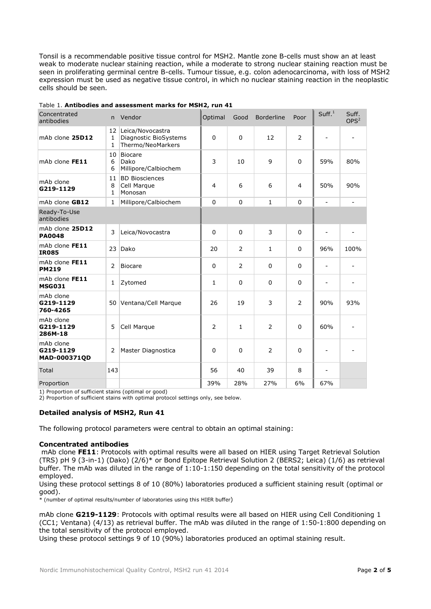Tonsil is a recommendable positive tissue control for MSH2. Mantle zone B-cells must show an at least weak to moderate nuclear staining reaction, while a moderate to strong nuclear staining reaction must be seen in proliferating germinal centre B-cells. Tumour tissue, e.g. colon adenocarcinoma, with loss of MSH2 expression must be used as negative tissue control, in which no nuclear staining reaction in the neoplastic cells should be seen.

| Concentrated<br>antibodies             | n.                      | Vendor                                                         | Optimal        | Good           | <b>Borderline</b> | Poor           | Suff. <sup>1</sup>       | Suff.<br>OPS <sup>2</sup> |
|----------------------------------------|-------------------------|----------------------------------------------------------------|----------------|----------------|-------------------|----------------|--------------------------|---------------------------|
| mAb clone 25D12                        | 12<br>1<br>1            | Leica/Novocastra<br>Diagnostic BioSystems<br>Thermo/NeoMarkers | $\Omega$       | 0              | 12                | $\overline{2}$ | $\overline{\phantom{a}}$ |                           |
| mAb clone FE11                         | 10<br>6<br>6            | <b>Biocare</b><br>Dako<br>Millipore/Calbiochem                 | 3              | 10             | 9                 | $\Omega$       | 59%                      | 80%                       |
| mAb clone<br>G219-1129                 | 11<br>8<br>$\mathbf{1}$ | <b>BD Biosciences</b><br>Cell Marque<br>Monosan                | $\overline{4}$ | 6              | 6                 | $\overline{4}$ | 50%                      | 90%                       |
| mAb clone GB12                         | $\mathbf{1}$            | Millipore/Calbiochem                                           | $\Omega$       | 0              | $\mathbf{1}$      | $\mathbf 0$    | $\overline{\phantom{a}}$ |                           |
| Ready-To-Use<br>antibodies             |                         |                                                                |                |                |                   |                |                          |                           |
| mAb clone 25D12<br><b>PA0048</b>       | 3                       | Leica/Novocastra                                               | $\Omega$       | $\mathbf{0}$   | 3                 | $\Omega$       | $\overline{a}$           | $\overline{\phantom{0}}$  |
| mAb clone FE11<br><b>IR085</b>         | 23                      | Dako                                                           | 20             | 2              | $\mathbf{1}$      | $\Omega$       | 96%                      | 100%                      |
| mAb clone FE11<br><b>PM219</b>         | 2                       | <b>Biocare</b>                                                 | $\Omega$       | $\overline{2}$ | $\Omega$          | $\Omega$       | $\mathbf{r}$             |                           |
| mAb clone FE11<br><b>MSG031</b>        | $\mathbf{1}$            | Zytomed                                                        | $\mathbf{1}$   | 0              | 0                 | $\mathbf 0$    | $\overline{a}$           |                           |
| mAb clone<br>G219-1129<br>760-4265     |                         | 50 Ventana/Cell Marque                                         | 26             | 19             | 3                 | $\overline{2}$ | 90%                      | 93%                       |
| mAb clone<br>G219-1129<br>286M-18      | 5                       | Cell Marque                                                    | 2              | 1              | $\overline{2}$    | $\mathbf 0$    | 60%                      | $\overline{\phantom{a}}$  |
| mAb clone<br>G219-1129<br>MAD-000371QD | 2                       | Master Diagnostica                                             | $\Omega$       | $\Omega$       | $\overline{2}$    | $\overline{0}$ |                          |                           |
| <b>Total</b>                           | 143                     |                                                                | 56             | 40             | 39                | 8              | $\overline{a}$           |                           |
| Proportion                             |                         |                                                                | 39%            | 28%            | 27%               | 6%             | 67%                      |                           |

#### Table 1. **Antibodies and assessment marks for MSH2, run 41**

1) Proportion of sufficient stains (optimal or good)

2) Proportion of sufficient stains with optimal protocol settings only, see below.

## **Detailed analysis of MSH2, Run 41**

The following protocol parameters were central to obtain an optimal staining:

#### **Concentrated antibodies**

mAb clone **FE11**: Protocols with optimal results were all based on HIER using Target Retrieval Solution (TRS) pH 9 (3-in-1) (Dako) (2/6)\* or Bond Epitope Retrieval Solution 2 (BERS2; Leica) (1/6) as retrieval buffer. The mAb was diluted in the range of 1:10-1:150 depending on the total sensitivity of the protocol employed.

Using these protocol settings 8 of 10 (80%) laboratories produced a sufficient staining result (optimal or good).

\* (number of optimal results/number of laboratories using this HIER buffer)

mAb clone **G219-1129**: Protocols with optimal results were all based on HIER using Cell Conditioning 1 (CC1; Ventana) (4/13) as retrieval buffer. The mAb was diluted in the range of 1:50-1:800 depending on the total sensitivity of the protocol employed.

Using these protocol settings 9 of 10 (90%) laboratories produced an optimal staining result.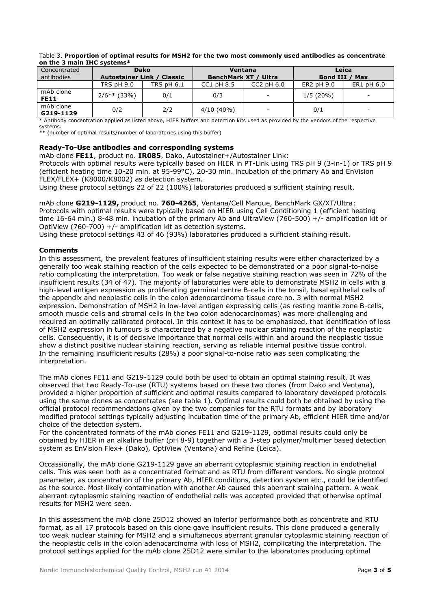| <u>UIL LIIC JIIIIIIIIIIII LIILO SVSLEIIIS</u> |                                   |             |                             |                          |                        |                          |  |
|-----------------------------------------------|-----------------------------------|-------------|-----------------------------|--------------------------|------------------------|--------------------------|--|
| Concentrated                                  |                                   | <b>Dako</b> | Ventana                     |                          | Leica                  |                          |  |
| antibodies                                    | <b>Autostainer Link / Classic</b> |             | <b>BenchMark XT / Ultra</b> |                          | <b>Bond III</b><br>Max |                          |  |
|                                               | <b>TRS pH 9.0</b>                 | TRS pH 6.1  | $CC1$ pH $8.5$              | $CC2$ pH $6.0$           | ER2 pH 9.0             | ER1 pH 6.0               |  |
| mAb clone<br><b>FE11</b>                      | $2/6**$ (33%)                     | 0/1         | 0/3                         | $\overline{\phantom{a}}$ | $1/5(20\%)$            | -                        |  |
| mAb clone<br>G219-1129                        | 0/2                               | 2/2         | $4/10(40\%)$                | $\overline{\phantom{a}}$ | 0/1                    | $\overline{\phantom{a}}$ |  |

#### Table 3. **Proportion of optimal results for MSH2 for the two most commonly used antibodies as concentrate on the 3 main IHC systems\***

\* Antibody concentration applied as listed above, HIER buffers and detection kits used as provided by the vendors of the respective systems.

\*\* (number of optimal results/number of laboratories using this buffer)

# **Ready-To-Use antibodies and corresponding systems**

mAb clone **FE11**, product no. **IR085**, Dako, Autostainer+/Autostainer Link:

Protocols with optimal results were typically based on HIER in PT-Link using TRS pH 9 (3-in-1) or TRS pH 9 (efficient heating time 10-20 min. at 95-99°C), 20-30 min. incubation of the primary Ab and EnVision FLEX/FLEX+ (K8000/K8002) as detection system.

Using these protocol settings 22 of 22 (100%) laboratories produced a sufficient staining result.

mAb clone **G219-1129,** product no. **760-4265**, Ventana/Cell Marque, BenchMark GX/XT/Ultra: Protocols with optimal results were typically based on HIER using Cell Conditioning 1 (efficient heating time 16-64 min.) 8-48 min. incubation of the primary Ab and UltraView (760-500) +/- amplification kit or OptiView (760-700) +/- amplification kit as detection systems.

Using these protocol settings 43 of 46 (93%) laboratories produced a sufficient staining result.

# **Comments**

In this assessment, the prevalent features of insufficient staining results were either characterized by a generally too weak staining reaction of the cells expected to be demonstrated or a poor signal-to-noise ratio complicating the interpretation. Too weak or false negative staining reaction was seen in 72% of the insufficient results (34 of 47). The majority of laboratories were able to demonstrate MSH2 in cells with a high-level antigen expression as proliferating germinal centre B-cells in the tonsil, basal epithelial cells of the appendix and neoplastic cells in the colon adenocarcinoma tissue core no. 3 with normal MSH2 expression. Demonstration of MSH2 in low-level antigen expressing cells (as resting mantle zone B-cells, smooth muscle cells and stromal cells in the two colon adenocarcinomas) was more challenging and required an optimally calibrated protocol. In this context it has to be emphasized, that identification of loss of MSH2 expression in tumours is characterized by a negative nuclear staining reaction of the neoplastic cells. Consequently, it is of decisive importance that normal cells within and around the neoplastic tissue show a distinct positive nuclear staining reaction, serving as reliable internal positive tissue control. In the remaining insufficient results (28%) a poor signal-to-noise ratio was seen complicating the interpretation.

The mAb clones FE11 and G219-1129 could both be used to obtain an optimal staining result. It was observed that two Ready-To-use (RTU) systems based on these two clones (from Dako and Ventana), provided a higher proportion of sufficient and optimal results compared to laboratory developed protocols using the same clones as concentrates (see table 1). Optimal results could both be obtained by using the official protocol recommendations given by the two companies for the RTU formats and by laboratory modified protocol settings typically adjusting incubation time of the primary Ab, efficient HIER time and/or choice of the detection system.

For the concentrated formats of the mAb clones FE11 and G219-1129, optimal results could only be obtained by HIER in an alkaline buffer (pH 8-9) together with a 3-step polymer/multimer based detection system as EnVision Flex+ (Dako), OptiView (Ventana) and Refine (Leica).

Occassionally, the mAb clone G219-1129 gave an aberrant cytoplasmic staining reaction in endothelial cells. This was seen both as a concentrated format and as RTU from different vendors. No single protocol parameter, as concentration of the primary Ab, HIER conditions, detection system etc., could be identified as the source. Most likely contamination with another Ab caused this aberrant staining pattern. A weak aberrant cytoplasmic staining reaction of endothelial cells was accepted provided that otherwise optimal results for MSH2 were seen.

In this assessment the mAb clone 25D12 showed an inferior performance both as concentrate and RTU format, as all 17 protocols based on this clone gave insufficient results. This clone produced a generally too weak nuclear staining for MSH2 and a simultaneous aberrant granular cytoplasmic staining reaction of the neoplastic cells in the colon adenocarcinoma with loss of MSH2, complicating the interpretation. The protocol settings applied for the mAb clone 25D12 were similar to the laboratories producing optimal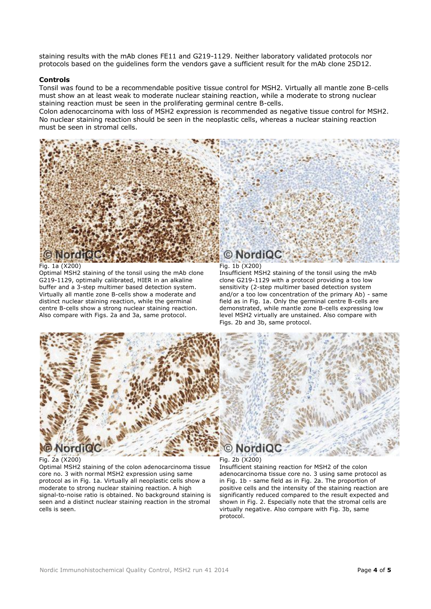staining results with the mAb clones FE11 and G219-1129. Neither laboratory validated protocols nor protocols based on the guidelines form the vendors gave a sufficient result for the mAb clone 25D12.

#### **Controls**

Tonsil was found to be a recommendable positive tissue control for MSH2. Virtually all mantle zone B-cells must show an at least weak to moderate nuclear staining reaction, while a moderate to strong nuclear staining reaction must be seen in the proliferating germinal centre B-cells.

Colon adenocarcinoma with loss of MSH2 expression is recommended as negative tissue control for MSH2. No nuclear staining reaction should be seen in the neoplastic cells, whereas a nuclear staining reaction must be seen in stromal cells.



# Fig. 1a (X200)

Optimal MSH2 staining of the tonsil using the mAb clone G219-1129, optimally calibrated, HIER in an alkaline buffer and a 3-step multimer based detection system. Virtually all mantle zone B-cells show a moderate and distinct nuclear staining reaction, while the germinal centre B-cells show a strong nuclear staining reaction. Also compare with Figs. 2a and 3a, same protocol.

#### Fig. 1b (X200)

Insufficient MSH2 staining of the tonsil using the mAb clone G219-1129 with a protocol providing a too low sensitivity (2-step multimer based detection system and/or a too low concentration of the primary Ab) - same field as in Fig. 1a. Only the germinal centre B-cells are demonstrated, while mantle zone B-cells expressing low level MSH2 virtually are unstained. Also compare with Figs. 2b and 3b, same protocol.



# Fig. 2a (X200)

Optimal MSH2 staining of the colon adenocarcinoma tissue core no. 3 with normal MSH2 expression using same protocol as in Fig. 1a. Virtually all neoplastic cells show a moderate to strong nuclear staining reaction. A high signal-to-noise ratio is obtained. No background staining is seen and a distinct nuclear staining reaction in the stromal cells is seen.

Fig. 2b (X200) Insufficient staining reaction for MSH2 of the colon adenocarcinoma tissue core no. 3 using same protocol as in Fig. 1b - same field as in Fig. 2a. The proportion of positive cells and the intensity of the staining reaction are significantly reduced compared to the result expected and shown in Fig. 2. Especially note that the stromal cells are virtually negative. Also compare with Fig. 3b, same protocol.